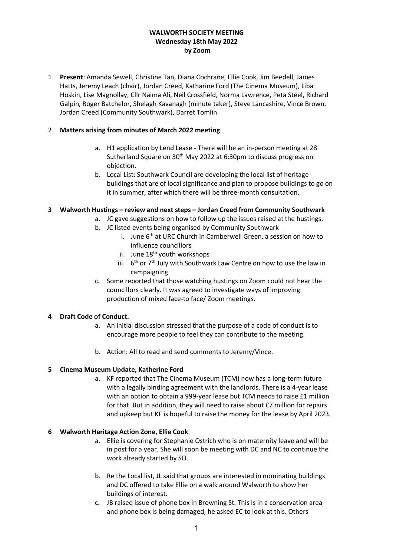## **WALWORTH SOCIETY MEETING Wednesday 18th May 2022 by Zoom**

1 **Present**: Amanda Sewell, Christine Tan, Diana Cochrane, Ellie Cook, Jim Beedell, James Hatts, Jeremy Leach (chair), Jordan Creed, Katharine Ford (The Cinema Museum), Liba Hoskin, Lise Magnollay, Cllr Naima Ali, Neil Crossfield, Norma Lawrence, Peta Steel, Richard Galpin, Roger Batchelor, Shelagh Kavanagh (minute taker), Steve Lancashire, Vince Brown, Jordan Creed (Community Southwark), Darret Tomlin.

## 2 **Matters arising from minutes of March 2022 meeting**.

- a. H1 application by Lend Lease There will be an in-person meeting at 28 Sutherland Square on 30<sup>th</sup> May 2022 at 6:30pm to discuss progress on objection.
- b. Local List: Southwark Council are developing the local list of heritage buildings that are of local significance and plan to propose buildings to go on it in summer, after which there will be three-month consultation.

### **3 Walworth Hustings – review and next steps – Jordan Creed from Community Southwark**

- a. JC gave suggestions on how to follow up the issues raised at the hustings.
	- b. JC listed events being organised by Community Southwark
		- i. June 6<sup>th</sup> at URC Church in Camberwell Green, a session on how to influence councillors
		- ii. June 18<sup>th</sup> youth workshops
		- iii.  $6<sup>th</sup>$  or  $7<sup>th</sup>$  July with Southwark Law Centre on how to use the law in campaigning
- c. Some reported that those watching hustings on Zoom could not hear the councillors clearly. It was agreed to investigate ways of improving production of mixed face-to face/ Zoom meetings.

# **4 Draft Code of Conduct.**

- a. An initial discussion stressed that the purpose of a code of conduct is to encourage more people to feel they can contribute to the meeting.
- b. Action: All to read and send comments to Jeremy/Vince.

# **5 Cinema Museum Update, Katherine Ford**

a. KF reported that The Cinema Museum (TCM) now has a long-term future with a legally binding agreement with the landlords. There is a 4-year lease with an option to obtain a 999-year lease but TCM needs to raise £1 million for that. But in addition, they will need to raise about £7 million for repairs and upkeep but KF is hopeful to raise the money for the lease by April 2023.

#### **6 Walworth Heritage Action Zone, Ellie Cook**

- a. Ellie is covering for Stephanie Ostrich who is on maternity leave and will be in post for a year. She will soon be meeting with DC and NC to continue the work already started by SO.
- b. Re the Local list, JL said that groups are interested in nominating buildings and DC offered to take Ellie on a walk around Walworth to show her buildings of interest.
- c. JB raised issue of phone box in Browning St. This is in a conservation area and phone box is being damaged, he asked EC to look at this. Others